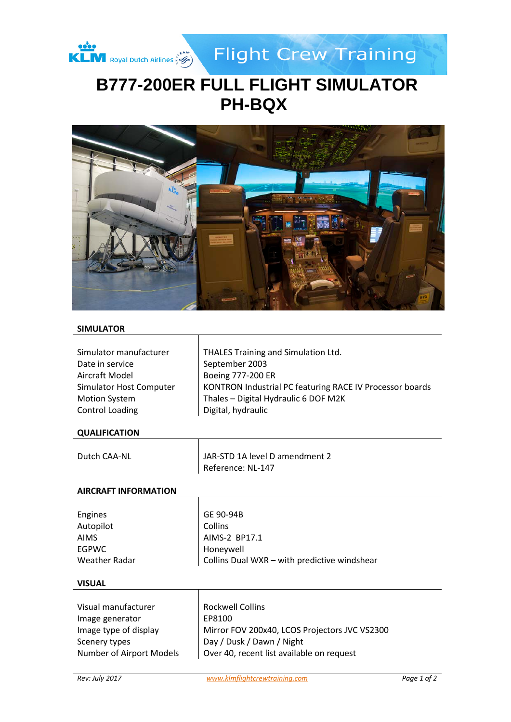

**Flight Crew Training** 

# **B777-200ER FULL FLIGHT SIMULATOR PH-BQX**



#### **SIMULATOR**

| Simulator manufacturer<br>Date in service<br>Aircraft Model | THALES Training and Simulation Ltd.<br>September 2003<br>Boeing 777-200 ER |
|-------------------------------------------------------------|----------------------------------------------------------------------------|
| Simulator Host Computer                                     | KONTRON Industrial PC featuring RACE IV Processor boards                   |
| <b>Motion System</b>                                        | Thales - Digital Hydraulic 6 DOF M2K                                       |
| <b>Control Loading</b>                                      | Digital, hydraulic                                                         |

#### **QUALIFICATION**

| Dutch CAA-NL | JAR-STD 1A level D amendment 2 |
|--------------|--------------------------------|
|              | Reference: NL-147              |

Τ

Τ

#### **AIRCRAFT INFORMATION**

| <b>Engines</b> | GE 90-94B                                    |
|----------------|----------------------------------------------|
| Autopilot      | Collins                                      |
| AIMS           | AIMS-2 BP17.1                                |
| <b>EGPWC</b>   | Honeywell                                    |
| Weather Radar  | Collins Dual WXR - with predictive windshear |
|                |                                              |

#### **VISUAL**

| Visual manufacturer      | <b>Rockwell Collins</b>                       |
|--------------------------|-----------------------------------------------|
| Image generator          | EP8100                                        |
| Image type of display    | Mirror FOV 200x40, LCOS Projectors JVC VS2300 |
| Scenery types            | Day / Dusk / Dawn / Night                     |
| Number of Airport Models | Over 40, recent list available on request     |